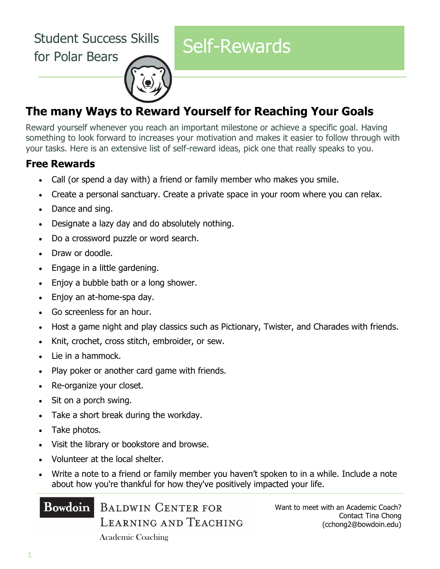Student Success Skills Suudent Success Skills<br>for Polar Bears



# **The many Ways to Reward Yourself for Reaching Your Goals**

Reward yourself whenever you reach an important milestone or achieve a specific goal. Having something to look forward to increases your motivation and makes it easier to follow through with your tasks. Here is an extensive list of self-reward ideas, pick one that really speaks to you.

#### **Free Rewards**

- Call (or spend a day with) a friend or family member who makes you smile.
- Create a personal sanctuary. Create a private space in your room where you can relax.
- Dance and sing.
- Designate a lazy day and do absolutely nothing.
- Do a crossword puzzle or word search.
- Draw or doodle.
- Engage in a little gardening.
- Enjoy a bubble bath or a long shower.
- Enjoy an at-home-spa day.
- Go screenless for an hour.
- Host a game night and play classics such as Pictionary, Twister, and Charades with friends.
- Knit, crochet, cross stitch, embroider, or sew.
- Lie in a hammock.
- Play poker or another card game with friends.
- Re-organize your closet.
- Sit on a porch swing.
- Take a short break during the workday.
- Take photos.
- Visit the library or bookstore and browse.
- Volunteer at the local shelter.
- Write a note to a friend or family member you haven't spoken to in a while. Include a note about how you're thankful for how they've positively impacted your life.

#### **Bowdoin**

BALDWIN CENTER FOR

LEARNING AND TEACHING

Want to meet with an Academic Coach? Contact Tina Chong (cchong2@bowdoin.edu)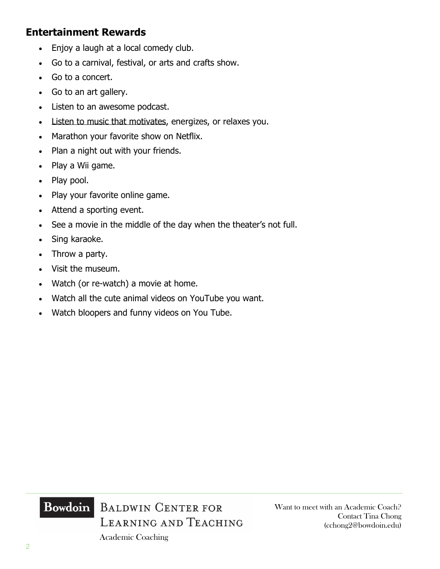#### **Entertainment Rewards**

- Enjoy a laugh at a local comedy club.
- Go to a carnival, festival, or arts and crafts show.
- Go to a concert.
- Go to an art gallery.
- Listen to an awesome podcast.
- [Listen to music that motivates,](https://www.developgoodhabits.com/motivational-songs/) energizes, or relaxes you.
- Marathon your favorite show on Netflix.
- Plan a night out with your friends.
- Play a Wii game.
- Play pool.
- Play your favorite online game.
- Attend a sporting event.
- See a movie in the middle of the day when the theater's not full.
- Sing karaoke.
- Throw a party.
- Visit the museum.
- Watch (or re-watch) a movie at home.
- Watch all the cute animal videos on YouTube you want.
- Watch bloopers and funny videos on You Tube.



Academic Coaching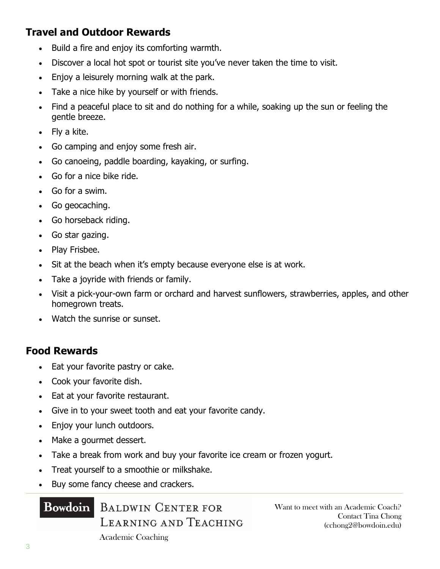## **Travel and Outdoor Rewards**

- Build a fire and enjoy its comforting warmth.
- Discover a local hot spot or tourist site you've never taken the time to visit.
- Enjoy a leisurely morning walk at the park.
- Take a nice hike by yourself or with friends.
- Find a peaceful place to sit and do nothing for a while, soaking up the sun or feeling the gentle breeze.
- Fly a kite.
- Go camping and enjoy some fresh air.
- Go canoeing, paddle boarding, kayaking, or surfing.
- Go for a nice bike ride.
- Go for a swim.
- Go geocaching.
- Go horseback riding.
- Go star gazing.
- Play Frisbee.
- Sit at the beach when it's empty because everyone else is at work.
- Take a joyride with friends or family.
- Visit a pick-your-own farm or orchard and harvest sunflowers, strawberries, apples, and other homegrown treats.
- Watch the sunrise or sunset.

#### **Food Rewards**

- Eat your favorite pastry or cake.
- Cook your favorite dish.
- Eat at your favorite restaurant.
- Give in to your sweet tooth and eat your favorite candy.
- Enjoy your lunch outdoors.
- Make a gourmet dessert.
- Take a break from work and buy your favorite ice cream or frozen yogurt.
- Treat yourself to a smoothie or milkshake.
- Buy some fancy cheese and crackers.

#### **Bowdoin**

BALDWIN CENTER FOR LEARNING AND TEACHING Want to meet with an Academic Coach? Contact Tina Chong (cchong2@bowdoin.edu)